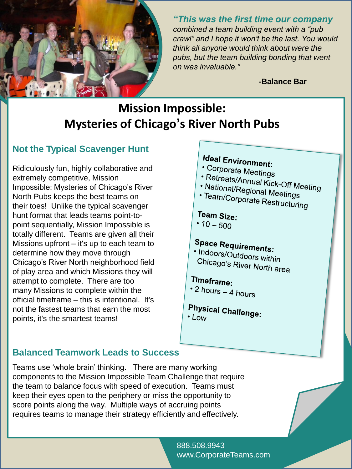

*"This was the first time our company combined a team building event with a "pub crawl" and I hope it won't be the last. You would think all anyone would think about were the pubs, but the team building bonding that went on was invaluable."* 

**-Balance Bar**

# **Mission Impossible: Mysteries of Chicago's River North Pubs**

## **Not the Typical Scavenger Hunt**

Ridiculously fun, highly collaborative and extremely competitive, Mission Impossible: Mysteries of Chicago's River North Pubs keeps the best teams on their toes! Unlike the typical scavenger hunt format that leads teams point-topoint sequentially, Mission Impossible is totally different. Teams are given all their Missions upfront – it's up to each team to determine how they move through Chicago's River North neighborhood field of play area and which Missions they will attempt to complete. There are too many Missions to complete within the official timeframe – this is intentional. It's not the fastest teams that earn the most points, it's the smartest teams!

# **Ideal Environment:**

- Corporate Meetings
- 
- Perporate Meetings<br>• Retreats/Annual Kick-Off Meeting<br>• National/Regional Meeti • National/Regional Meetings<br>• National/Regional Meetings<br>• Team/Corporate D
- · Team/Corporate Restructuring

### Team Size:

•  $10 - 500$ 

# **Space Requirements:**

• Indoors/Outdoors within<br>Chicago's Di Chicago's River North area

## Timeframe:

- 2 hours  $-$  4 hours
- **Physical Challenge:** • Low

## **Balanced Teamwork Leads to Success**

Teams use 'whole brain' thinking. There are many working components to the Mission Impossible Team Challenge that require the team to balance focus with speed of execution. Teams must keep their eyes open to the periphery or miss the opportunity to score points along the way. Multiple ways of accruing points requires teams to manage their strategy efficiently and effectively.

> 888.508.9943 www.CorporateTeams.com